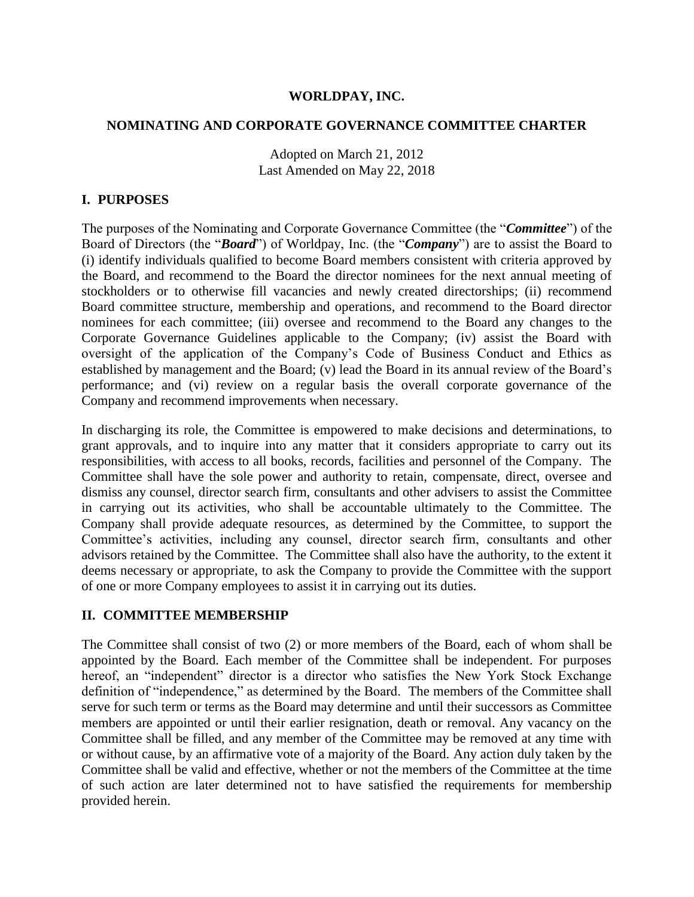## **WORLDPAY, INC.**

#### **NOMINATING AND CORPORATE GOVERNANCE COMMITTEE CHARTER**

Adopted on March 21, 2012 Last Amended on May 22, 2018

## **I. PURPOSES**

The purposes of the Nominating and Corporate Governance Committee (the "*Committee*") of the Board of Directors (the "*Board*") of Worldpay, Inc. (the "*Company*") are to assist the Board to (i) identify individuals qualified to become Board members consistent with criteria approved by the Board, and recommend to the Board the director nominees for the next annual meeting of stockholders or to otherwise fill vacancies and newly created directorships; (ii) recommend Board committee structure, membership and operations, and recommend to the Board director nominees for each committee; (iii) oversee and recommend to the Board any changes to the Corporate Governance Guidelines applicable to the Company; (iv) assist the Board with oversight of the application of the Company's Code of Business Conduct and Ethics as established by management and the Board; (v) lead the Board in its annual review of the Board's performance; and (vi) review on a regular basis the overall corporate governance of the Company and recommend improvements when necessary.

In discharging its role, the Committee is empowered to make decisions and determinations, to grant approvals, and to inquire into any matter that it considers appropriate to carry out its responsibilities, with access to all books, records, facilities and personnel of the Company. The Committee shall have the sole power and authority to retain, compensate, direct, oversee and dismiss any counsel, director search firm, consultants and other advisers to assist the Committee in carrying out its activities, who shall be accountable ultimately to the Committee. The Company shall provide adequate resources, as determined by the Committee, to support the Committee's activities, including any counsel, director search firm, consultants and other advisors retained by the Committee. The Committee shall also have the authority, to the extent it deems necessary or appropriate, to ask the Company to provide the Committee with the support of one or more Company employees to assist it in carrying out its duties.

### **II. COMMITTEE MEMBERSHIP**

The Committee shall consist of two (2) or more members of the Board, each of whom shall be appointed by the Board. Each member of the Committee shall be independent. For purposes hereof, an "independent" director is a director who satisfies the New York Stock Exchange definition of "independence," as determined by the Board. The members of the Committee shall serve for such term or terms as the Board may determine and until their successors as Committee members are appointed or until their earlier resignation, death or removal. Any vacancy on the Committee shall be filled, and any member of the Committee may be removed at any time with or without cause, by an affirmative vote of a majority of the Board. Any action duly taken by the Committee shall be valid and effective, whether or not the members of the Committee at the time of such action are later determined not to have satisfied the requirements for membership provided herein.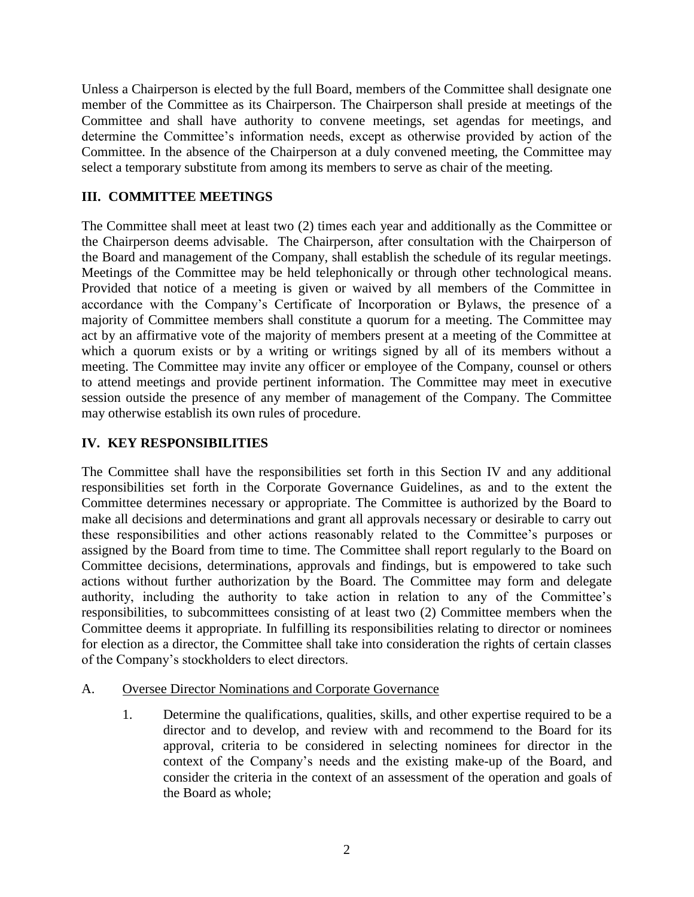Unless a Chairperson is elected by the full Board, members of the Committee shall designate one member of the Committee as its Chairperson. The Chairperson shall preside at meetings of the Committee and shall have authority to convene meetings, set agendas for meetings, and determine the Committee's information needs, except as otherwise provided by action of the Committee. In the absence of the Chairperson at a duly convened meeting, the Committee may select a temporary substitute from among its members to serve as chair of the meeting.

# **III. COMMITTEE MEETINGS**

The Committee shall meet at least two (2) times each year and additionally as the Committee or the Chairperson deems advisable. The Chairperson, after consultation with the Chairperson of the Board and management of the Company, shall establish the schedule of its regular meetings. Meetings of the Committee may be held telephonically or through other technological means. Provided that notice of a meeting is given or waived by all members of the Committee in accordance with the Company's Certificate of Incorporation or Bylaws, the presence of a majority of Committee members shall constitute a quorum for a meeting. The Committee may act by an affirmative vote of the majority of members present at a meeting of the Committee at which a quorum exists or by a writing or writings signed by all of its members without a meeting. The Committee may invite any officer or employee of the Company, counsel or others to attend meetings and provide pertinent information. The Committee may meet in executive session outside the presence of any member of management of the Company. The Committee may otherwise establish its own rules of procedure.

# **IV. KEY RESPONSIBILITIES**

The Committee shall have the responsibilities set forth in this Section IV and any additional responsibilities set forth in the Corporate Governance Guidelines, as and to the extent the Committee determines necessary or appropriate. The Committee is authorized by the Board to make all decisions and determinations and grant all approvals necessary or desirable to carry out these responsibilities and other actions reasonably related to the Committee's purposes or assigned by the Board from time to time. The Committee shall report regularly to the Board on Committee decisions, determinations, approvals and findings, but is empowered to take such actions without further authorization by the Board. The Committee may form and delegate authority, including the authority to take action in relation to any of the Committee's responsibilities, to subcommittees consisting of at least two (2) Committee members when the Committee deems it appropriate. In fulfilling its responsibilities relating to director or nominees for election as a director, the Committee shall take into consideration the rights of certain classes of the Company's stockholders to elect directors.

- A. Oversee Director Nominations and Corporate Governance
	- 1. Determine the qualifications, qualities, skills, and other expertise required to be a director and to develop, and review with and recommend to the Board for its approval, criteria to be considered in selecting nominees for director in the context of the Company's needs and the existing make-up of the Board, and consider the criteria in the context of an assessment of the operation and goals of the Board as whole;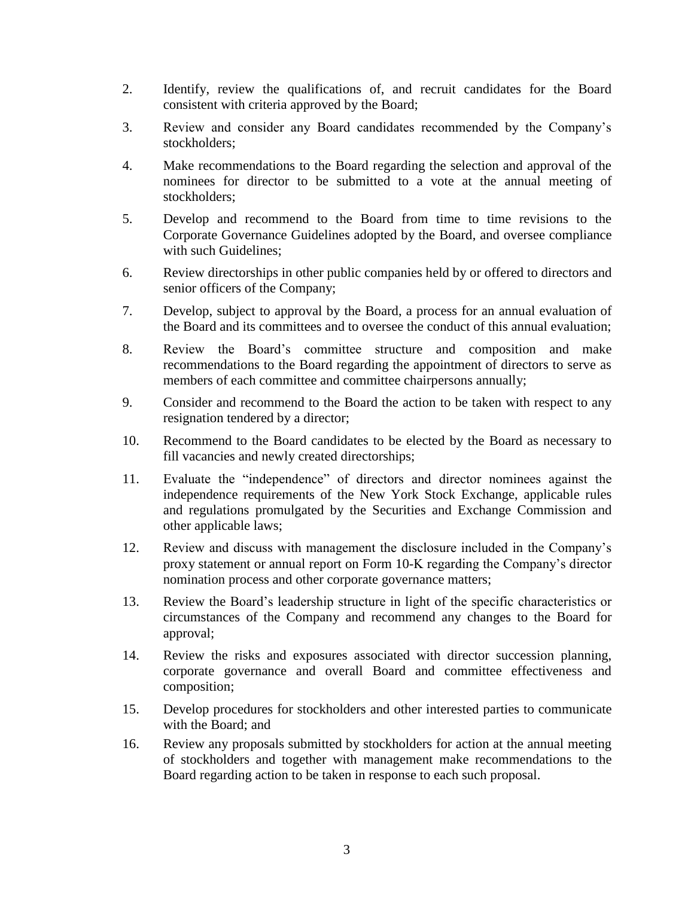- 2. Identify, review the qualifications of, and recruit candidates for the Board consistent with criteria approved by the Board;
- 3. Review and consider any Board candidates recommended by the Company's stockholders;
- 4. Make recommendations to the Board regarding the selection and approval of the nominees for director to be submitted to a vote at the annual meeting of stockholders;
- 5. Develop and recommend to the Board from time to time revisions to the Corporate Governance Guidelines adopted by the Board, and oversee compliance with such Guidelines;
- 6. Review directorships in other public companies held by or offered to directors and senior officers of the Company;
- 7. Develop, subject to approval by the Board, a process for an annual evaluation of the Board and its committees and to oversee the conduct of this annual evaluation;
- 8. Review the Board's committee structure and composition and make recommendations to the Board regarding the appointment of directors to serve as members of each committee and committee chairpersons annually;
- 9. Consider and recommend to the Board the action to be taken with respect to any resignation tendered by a director;
- 10. Recommend to the Board candidates to be elected by the Board as necessary to fill vacancies and newly created directorships;
- 11. Evaluate the "independence" of directors and director nominees against the independence requirements of the New York Stock Exchange, applicable rules and regulations promulgated by the Securities and Exchange Commission and other applicable laws;
- 12. Review and discuss with management the disclosure included in the Company's proxy statement or annual report on Form 10-K regarding the Company's director nomination process and other corporate governance matters;
- 13. Review the Board's leadership structure in light of the specific characteristics or circumstances of the Company and recommend any changes to the Board for approval;
- 14. Review the risks and exposures associated with director succession planning, corporate governance and overall Board and committee effectiveness and composition;
- 15. Develop procedures for stockholders and other interested parties to communicate with the Board; and
- 16. Review any proposals submitted by stockholders for action at the annual meeting of stockholders and together with management make recommendations to the Board regarding action to be taken in response to each such proposal.